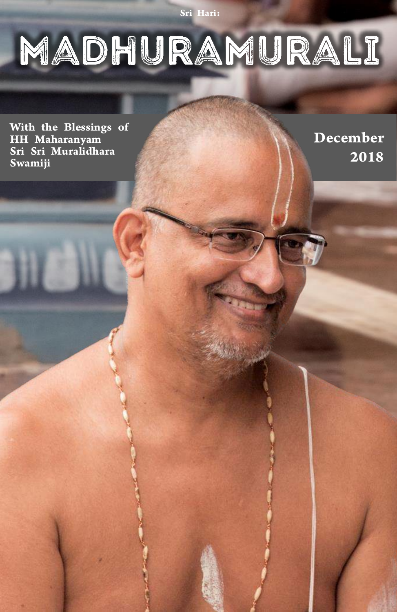Sri Hari:

# MADHURAMURALI

With the Blessings of HH Maharanyam Sri Sri Muralidhara Swamiji

December 2018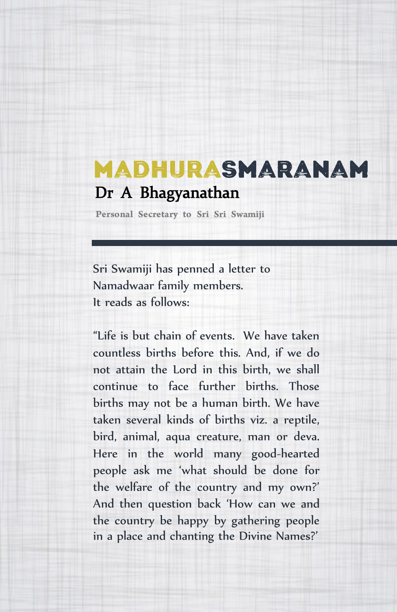### MADHURASMARANAM Dr A Bhagyanathan

Personal Secretary to Sri Sri Swamiji

Sri Swamiji has penned a letter to Namadwaar family members. It reads as follows:

"Life is but chain of events. We have taken countless births before this. And, if we do not attain the Lord in this birth, we shall continue to face further births. Those births may not be a human birth. We have taken several kinds of births viz. a reptile, bird, animal, aqua creature, man or deva. Here in the world many good-hearted people ask me 'what should be done for the welfare of the country and my own?' And then question back 'How can we and the country be happy by gathering people in a place and chanting the Divine Names?'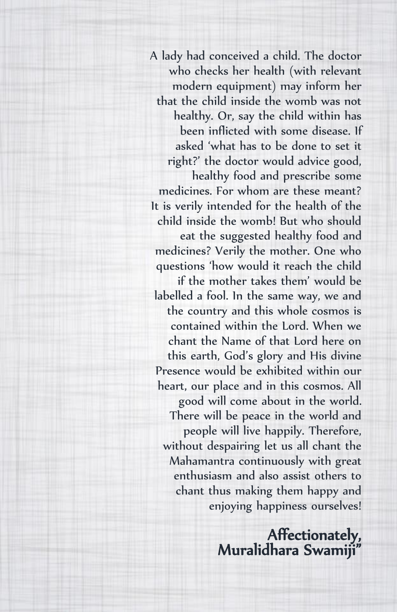A lady had conceived a child. The doctor who checks her health (with relevant modern equipment) may inform her that the child inside the womb was not healthy. Or, say the child within has been inflicted with some disease. If asked 'what has to be done to set it right?' the doctor would advice good, healthy food and prescribe some medicines. For whom are these meant? It is verily intended for the health of the child inside the womb! But who should eat the suggested healthy food and medicines? Verily the mother. One who questions 'how would it reach the child if the mother takes them' would be labelled a fool. In the same way, we and the country and this whole cosmos is contained within the Lord. When we chant the Name of that Lord here on this earth, God's glory and His divine Presence would be exhibited within our heart, our place and in this cosmos. All good will come about in the world. There will be peace in the world and people will live happily. Therefore, without despairing let us all chant the Mahamantra continuously with great enthusiasm and also assist others to chant thus making them happy and enjoying happiness ourselves!

> Affectionately, Muralidhara Swamiji"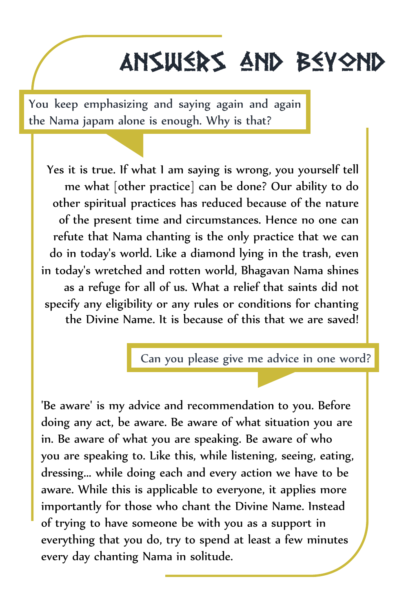# Answers and Beyond

You keep emphasizing and saying again and again the Nama japam alone is enough. Why is that?

Yes it is true. If what I am saying is wrong, you yourself tell me what [other practice] can be done? Our ability to do other spiritual practices has reduced because of the nature of the present time and circumstances. Hence no one can refute that Nama chanting is the only practice that we can do in today's world. Like a diamond lying in the trash, even in today's wretched and rotten world, Bhagavan Nama shines as a refuge for all of us. What a relief that saints did not specify any eligibility or any rules or conditions for chanting the Divine Name. It is because of this that we are saved!

Can you please give me advice in one word?

'Be aware' is my advice and recommendation to you. Before doing any act, be aware. Be aware of what situation you are in. Be aware of what you are speaking. Be aware of who you are speaking to. Like this, while listening, seeing, eating, dressing... while doing each and every action we have to be aware. While this is applicable to everyone, it applies more importantly for those who chant the Divine Name. Instead of trying to have someone be with you as a support in everything that you do, try to spend at least a few minutes every day chanting Nama in solitude.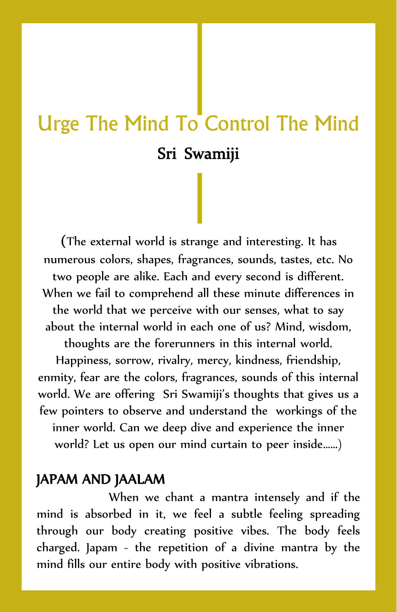## Urge The Mind To Control The Mind Sri Swamiji

(The external world is strange and interesting. It has numerous colors, shapes, fragrances, sounds, tastes, etc. No two people are alike. Each and every second is different. When we fail to comprehend all these minute differences in the world that we perceive with our senses, what to say about the internal world in each one of us? Mind, wisdom. thoughts are the forerunners in this internal world.

Happiness, sorrow, rivalry, mercy, kindness, friendship, enmity, fear are the colors, fragrances, sounds of this internal world. We are offering Sri Swamiji's thoughts that gives us a few pointers to observe and understand the workings of the inner world. Can we deep dive and experience the inner world? Let us open our mind curtain to peer inside……)

### JAPAM AND JAALAM

When we chant a mantra intensely and if the mind is absorbed in it, we feel a subtle feeling spreading through our body creating positive vibes. The body feels charged. Japam - the repetition of a divine mantra by the mind fills our entire body with positive vibrations.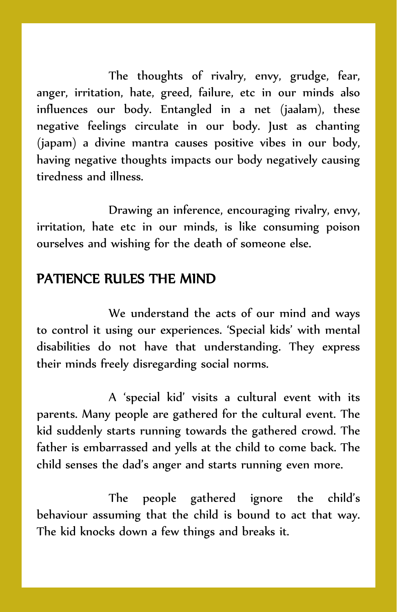The thoughts of rivalry, envy, grudge, fear, anger, irritation, hate, greed, failure, etc in our minds also influences our body. Entangled in a net (jaalam), these negative feelings circulate in our body. Just as chanting (japam) a divine mantra causes positive vibes in our body, having negative thoughts impacts our body negatively causing tiredness and illness.

Drawing an inference, encouraging rivalry, envy, irritation, hate etc in our minds, is like consuming poison ourselves and wishing for the death of someone else.

#### PATIENCE RULES THE MIND

We understand the acts of our mind and ways to control it using our experiences. 'Special kids' with mental disabilities do not have that understanding. They express their minds freely disregarding social norms.

A 'special kid' visits a cultural event with its parents. Many people are gathered for the cultural event. The kid suddenly starts running towards the gathered crowd. The father is embarrassed and yells at the child to come back. The child senses the dad's anger and starts running even more.

The people gathered ignore the child's behaviour assuming that the child is bound to act that way. The kid knocks down a few things and breaks it.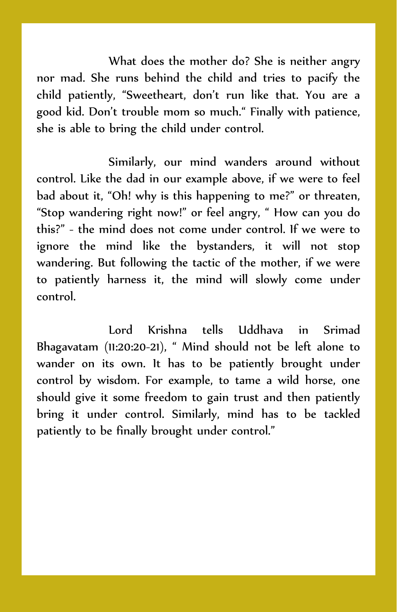What does the mother do? She is neither angry nor mad. She runs behind the child and tries to pacify the child patiently, "Sweetheart, don't run like that. You are a good kid. Don't trouble mom so much." Finally with patience, she is able to bring the child under control.

Similarly, our mind wanders around without control. Like the dad in our example above, if we were to feel bad about it, "Oh! why is this happening to me?" or threaten, "Stop wandering right now!" or feel angry, " How can you do this?" - the mind does not come under control. If we were to ignore the mind like the bystanders, it will not stop wandering. But following the tactic of the mother, if we were to patiently harness it, the mind will slowly come under control.

Lord Krishna tells Uddhava in Srimad Bhagavatam (11:20:20-21), " Mind should not be left alone to wander on its own. It has to be patiently brought under control by wisdom. For example, to tame a wild horse, one should give it some freedom to gain trust and then patiently bring it under control. Similarly, mind has to be tackled patiently to be finally brought under control."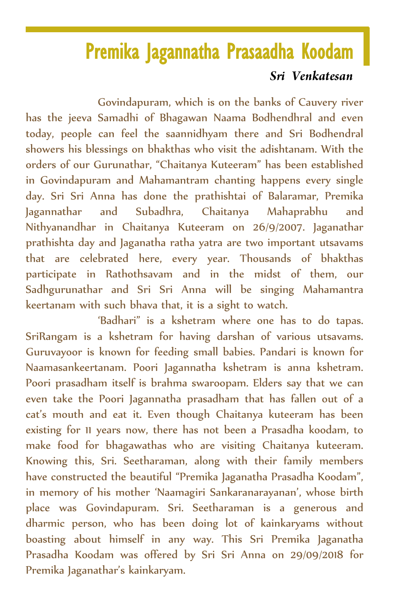### Premika Jagannatha Prasaadha Koodam

#### Sri Venkatesan

Govindapuram, which is on the banks of Cauvery river has the jeeva Samadhi of Bhagawan Naama Bodhendhral and even today, people can feel the saannidhyam there and Sri Bodhendral showers his blessings on bhakthas who visit the adishtanam. With the orders of our Gurunathar, "Chaitanya Kuteeram" has been established in Govindapuram and Mahamantram chanting happens every single day. Sri Sri Anna has done the prathishtai of Balaramar, Premika Jagannathar and Subadhra, Chaitanya Mahaprabhu and Nithyanandhar in Chaitanya Kuteeram on 26/9/2007. Jaganathar prathishta day and Jaganatha ratha yatra are two important utsavams that are celebrated here, every year. Thousands of bhakthas participate in Rathothsavam and in the midst of them, our Sadhgurunathar and Sri Sri Anna will be singing Mahamantra keertanam with such bhava that, it is a sight to watch.

'Badhari" is a kshetram where one has to do tapas. SriRangam is a kshetram for having darshan of various utsavams. Guruvayoor is known for feeding small babies. Pandari is known for Naamasankeertanam. Poori Jagannatha kshetram is anna kshetram. Poori prasadham itself is brahma swaroopam. Elders say that we can even take the Poori Jagannatha prasadham that has fallen out of a cat's mouth and eat it. Even though Chaitanya kuteeram has been existing for 11 years now, there has not been a Prasadha koodam, to make food for bhagawathas who are visiting Chaitanya kuteeram. Knowing this, Sri. Seetharaman, along with their family members have constructed the beautiful "Premika Jaganatha Prasadha Koodam", in memory of his mother 'Naamagiri Sankaranarayanan', whose birth place was Govindapuram. Sri. Seetharaman is a generous and dharmic person, who has been doing lot of kainkaryams without boasting about himself in any way. This Sri Premika Jaganatha Prasadha Koodam was offered by Sri Sri Anna on 29/09/2018 for Premika Jaganathar's kainkaryam.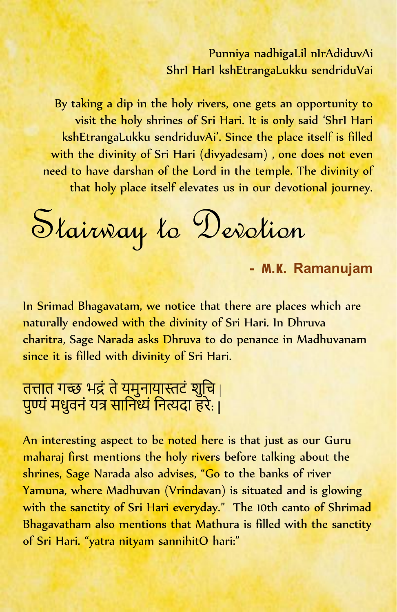### Punniya nadhigaLil nIrAdiduvAi ShrI HarI kshEtrangaLukku sendriduVai

By taking a dip in the holy rivers, one gets an opportunity to visit the holy shrines of Sri Hari. It is only said 'ShrI Hari kshEtrangaLukku sendriduvAi'. Since the place itself is filled with the divinity of Sri Hari (divyadesam), one does not even need to have darshan of the Lord in the temple. The divinity of that holy place itself elevates us in our devotional journey.

Stairway to Devotion

- **M**.**K.** Ramanujam

In Srimad Bhagavatam, we notice that there are places which are naturally endowed with the divinity of Sri Hari. In Dhruva charitra, Sage Narada asks Dhruva to do penance in Madhuvanam since it is filled with divinity of Sri Hari.

### तत्तात गच्छे भद्रं ते यूमुनायास्तटं श<u>ुचि</u> <sub>|</sub> पुण्यं मधुवनं यत्र सानिध्यं नित्यदा हरे: <sub>||</sub>

An interesting aspect to be noted here is that just as our Guru maharaj first mentions the holy rivers before talking about the shrines, Sage Narada also advises, "Go to the banks of river Yamuna, where Madhuvan (Vrindavan) is situated and is glowing with the sanctity of Sri Hari everyday." The 10th canto of Shrimad Bhagavatham also mentions that Mathura is filled with the sanctity of Sri Hari. "yatra nityam sannihitO hari:"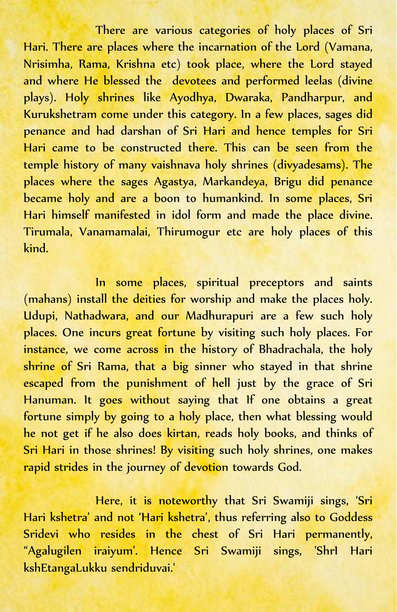There are various categories of holy places of Sri Hari. There are places where the incarnation of the Lord (Vamana, Nrisimha, Rama, Krishna etc) took place, where the Lord stayed and where He blessed the devotees and performed leelas (divine plays). Holy shrines like Ayodhya, Dwaraka, Pandharpur, and Kurukshetram come under this category. In a few places, sages did penance and had darshan of Sri Hari and hence temples for Sri Hari came to be constructed there. This can be seen from the temple history of many vaishnava holy shrines (divyadesams). The places where the sages Agastya, Markandeya, Brigu did penance became holy and are a boon to humankind. In some places, Sri Hari himself manifested in idol form and made the place divine. Tirumala, Vanamamalai, Thirumogur etc are holy places of this kind.

In some places, spiritual preceptors and saints (mahans) install the deities for worship and make the places holy. Udupi, Nathadwara, and our Madhurapuri are a few such holy places. One incurs great fortune by visiting such holy places. For instance, we come across in the history of Bhadrachala, the holy shrine of Sri Rama, that a big sinner who stayed in that shrine escaped from the punishment of hell just by the grace of Sri Hanuman. It goes without saying that If one obtains a great fortune simply by going to a holy place, then what blessing would he not get if he also does kirtan, reads holy books, and thinks of Sri Hari in those shrines! By visiting such holy shrines, one makes rapid strides in the journey of devotion towards God.

Here, it is noteworthy that Sri Swamiji sings, 'Sri Hari kshetra' and not 'Hari kshetra', thus referring also to Goddess Sridevi who resides in the chest of Sri Hari permanently, "Agalugilen iraiyum'. Hence Sri Swamiji sings, 'ShrI Hari kshEtangaLukku sendriduvai.'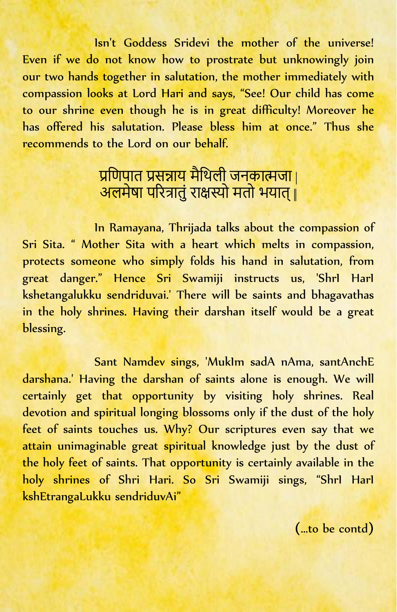Isn't Goddess Sridevi the mother of the universe! Even if we do not know how to prostrate but unknowingly join our two hands together in salutation, the mother immediately with compassion looks at Lord Hari and says, "See! Our child has come to our shrine even though he is in great difficulty! Moreover he has offered his salutation. Please bless him at once." Thus she recommends to the Lord on our behalf.

### प्रणिपात प्रसन्नाय मेथिली जनकात्मजा | अलमेषा पररत्रातुं राक्षस्यो मतो भयात्||

In Ramayana, Thrijada talks about the compassion of Sri Sita. " Mother Sita with a heart which melts in compassion, protects someone who simply folds his hand in salutation, from great danger." Hence Sri Swamiji instructs us, 'ShrI HarI kshetangalukku sendriduvai.' There will be saints and bhagavathas in the holy shrines. Having their darshan itself would be a great blessing.

Sant Namdev sings, 'MukIm sadA nAma, santAnchE darshana.' Having the darshan of saints alone is enough. We will certainly get that opportunity by visiting holy shrines. Real devotion and spiritual longing blossoms only if the dust of the holy feet of saints touches us. Why? Our scriptures even say that we attain unimaginable great spiritual knowledge just by the dust of the holy feet of saints. That opportunity is certainly available in the holy shrines of Shri Hari. So Sri Swamiji sings, "ShrI HarI kshEtrangaLukku sendriduvAi"

(…to be contd)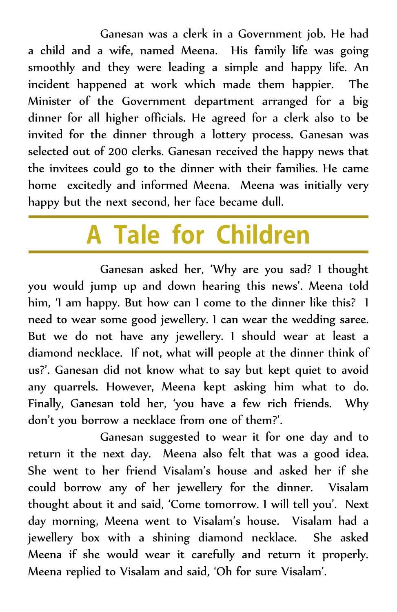Ganesan was a clerk in a Government job. He had a child and a wife, named Meena. His family life was going smoothly and they were leading a simple and happy life. An incident happened at work which made them happier. The Minister of the Government department arranged for a big dinner for all higher officials. He agreed for a clerk also to be invited for the dinner through a lottery process. Ganesan was selected out of 200 clerks. Ganesan received the happy news that the invitees could go to the dinner with their families. He came home excitedly and informed Meena. Meena was initially very happy but the next second, her face became dull.

# A Tale for Children

Ganesan asked her, 'Why are you sad? I thought you would jump up and down hearing this news'. Meena told him, 'I am happy. But how can I come to the dinner like this? I need to wear some good jewellery. I can wear the wedding saree. But we do not have any jewellery. I should wear at least a diamond necklace. If not, what will people at the dinner think of us?'. Ganesan did not know what to say but kept quiet to avoid any quarrels. However, Meena kept asking him what to do. Finally, Ganesan told her, 'you have a few rich friends. Why don't you borrow a necklace from one of them?'.

Ganesan suggested to wear it for one day and to return it the next day. Meena also felt that was a good idea. She went to her friend Visalam's house and asked her if she could borrow any of her jewellery for the dinner. Visalam thought about it and said, 'Come tomorrow. I will tell you'. Next day morning, Meena went to Visalam's house. Visalam had a jewellery box with a shining diamond necklace. She asked Meena if she would wear it carefully and return it properly. Meena replied to Visalam and said, 'Oh for sure Visalam'.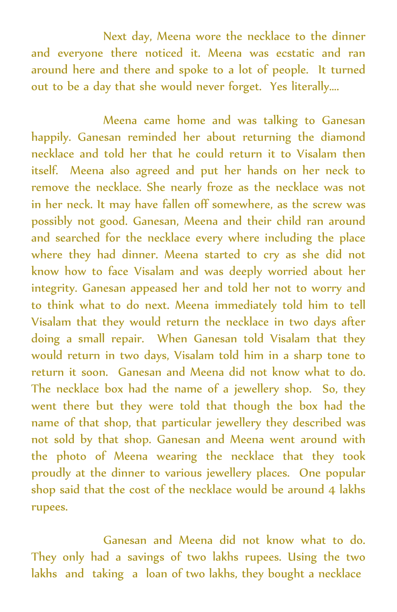Next day, Meena wore the necklace to the dinner and everyone there noticed it. Meena was ecstatic and ran around here and there and spoke to a lot of people. It turned out to be a day that she would never forget. Yes literally….

Meena came home and was talking to Ganesan happily. Ganesan reminded her about returning the diamond necklace and told her that he could return it to Visalam then itself. Meena also agreed and put her hands on her neck to remove the necklace. She nearly froze as the necklace was not in her neck. It may have fallen off somewhere, as the screw was possibly not good. Ganesan, Meena and their child ran around and searched for the necklace every where including the place where they had dinner. Meena started to cry as she did not know how to face Visalam and was deeply worried about her integrity. Ganesan appeased her and told her not to worry and to think what to do next. Meena immediately told him to tell Visalam that they would return the necklace in two days after doing a small repair. When Ganesan told Visalam that they would return in two days, Visalam told him in a sharp tone to return it soon. Ganesan and Meena did not know what to do. The necklace box had the name of a jewellery shop. So, they went there but they were told that though the box had the name of that shop, that particular jewellery they described was not sold by that shop. Ganesan and Meena went around with the photo of Meena wearing the necklace that they took proudly at the dinner to various jewellery places. One popular shop said that the cost of the necklace would be around 4 lakhs rupees.

Ganesan and Meena did not know what to do. They only had a savings of two lakhs rupees. Using the two lakhs and taking a loan of two lakhs, they bought a necklace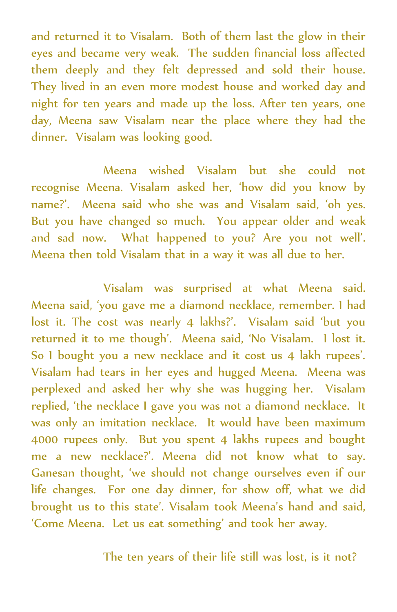and returned it to Visalam. Both of them last the glow in their eyes and became very weak. The sudden financial loss affected them deeply and they felt depressed and sold their house. They lived in an even more modest house and worked day and night for ten years and made up the loss. After ten years, one day, Meena saw Visalam near the place where they had the dinner. Visalam was looking good.

Meena wished Visalam but she could not recognise Meena. Visalam asked her, 'how did you know by name?'. Meena said who she was and Visalam said, 'oh yes. But you have changed so much. You appear older and weak and sad now. What happened to you? Are you not well'. Meena then told Visalam that in a way it was all due to her.

Visalam was surprised at what Meena said. Meena said, 'you gave me a diamond necklace, remember. I had lost it. The cost was nearly 4 lakhs?'. Visalam said 'but you returned it to me though'. Meena said, 'No Visalam. I lost it. So I bought you a new necklace and it cost us 4 lakh rupees'. Visalam had tears in her eyes and hugged Meena. Meena was perplexed and asked her why she was hugging her. Visalam replied, 'the necklace I gave you was not a diamond necklace. It was only an imitation necklace. It would have been maximum 4000 rupees only. But you spent 4 lakhs rupees and bought me a new necklace?'. Meena did not know what to say. Ganesan thought, 'we should not change ourselves even if our life changes. For one day dinner, for show off, what we did brought us to this state'. Visalam took Meena's hand and said, 'Come Meena. Let us eat something' and took her away.

The ten years of their life still was lost, is it not?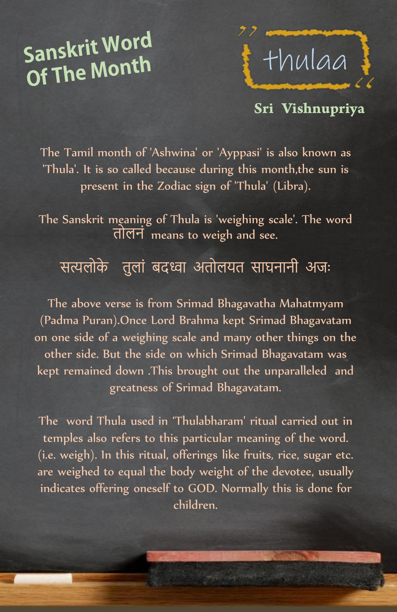# Sanskrit Word Of The Month



### Sri Vishnupriya

The Tamil month of 'Ashwina' or 'Ayppasi' is also known as 'Thula'. It is so called because during this month,the sun is present in the Zodiac sign of 'Thula' (Libra).

The Sanskrit meaning of Thula is 'weighing scale'. The word तोलनं means to weigh and see.

### सत्यलोके तुलां बदध्वा अतोलयत साघनानी अजः

The above verse is from Srimad Bhagavatha Mahatmyam (Padma Puran).Once Lord Brahma kept Srimad Bhagavatam on one side of a weighing scale and many other things on the other side. But the side on which Srimad Bhagavatam was kept remained down .This brought out the unparalleled and greatness of Srimad Bhagavatam.

The word Thula used in 'Thulabharam' ritual carried out in temples also refers to this particular meaning of the word. (i.e. weigh). In this ritual, offerings like fruits, rice, sugar etc. are weighed to equal the body weight of the devotee, usually indicates offering oneself to GOD. Normally this is done for children.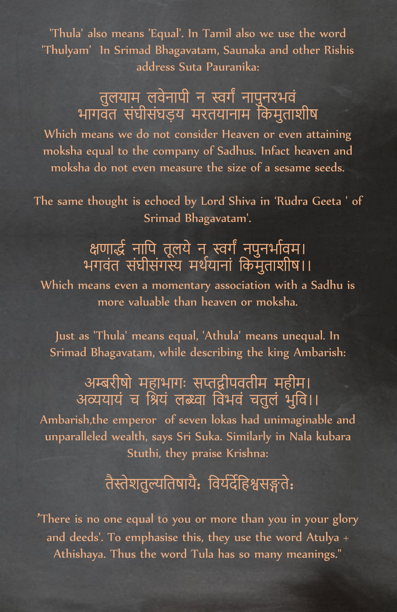'Thula' also means 'Equal'. In Tamil also we use the word 'Thulyam' In Srimad Bhagavatam, Saunaka and other Rishis address Suta Pauranika:

### तुलयाम लवनापा न स्वगं नापुनरभव भागवत संघीसंघड़य मरतयानाम चकमुताशीष

Which means we do not consider Heaven or even attaining moksha equal to the company of Sadhus. Infact heaven and moksha do not even measure the size of a sesame seeds.

The same thought is echoed by Lord Shiva in 'Rudra Geeta ' of Srimad Bhagavatam'.

### क्षणाद्धं नापि तूलयं न् स्वगं नपुनभावम। भगवंत संघासगस्य मथयानां किमुताशीष।।

Which means even a momentary association with a Sadhu is more valuable than heaven or moksha.

Just as 'Thula' means equal, 'Athula' means unequal. In Srimad Bhagavatam, while describing the king Ambarish:

### अम्बरीषो महाभागः सप्तद्वीपवतीम महीम। अव्ययायं च श्रियं लब्ध्वा विभवं चतुलं भुवि।।

Ambarish,the emperor of seven lokas had unimaginable and unparalleled wealth, says Sri Suka. Similarly in Nala kubara Stuthi, they praise Krishna:

### तैस्तेशतुल्यचतषायै: चवयधदेचहश्वसङ्गते:

'There is no one equal to you or more than you in your glory and deeds'. To emphasise this, they use the word Atulya + Athishaya. Thus the word Tula has so many meanings."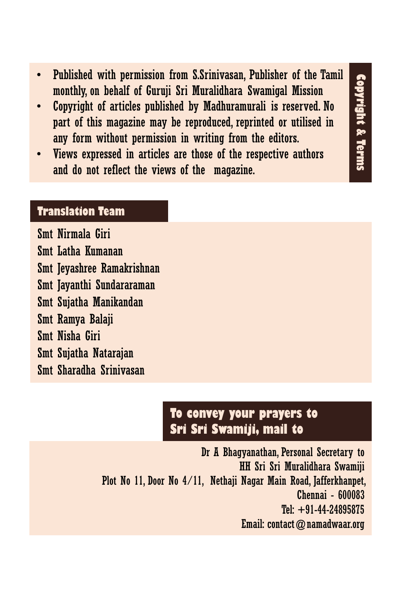- Published with permission from S.Srinivasan, Publisher of the Tamil monthly, on behalf of Guruji Sri Muralidhara Swamigal Mission
- Copyright of articles published by Madhuramurali is reserved. No part of this magazine may be reproduced, reprinted or utilised in any form without permission in writing from the editors.

**Copyright & Terms**

**Copyright & Terms** 

Views expressed in articles are those of the respective authors and do not reflect the views of the magazine.

#### **Translation Team**

Smt Nirmala Giri Smt Latha Kumanan Smt Jeyashree Ramakrishnan Smt Jayanthi Sundararaman Smt Sujatha Manikandan Smt Ramya Balaji Smt Nisha Giri Smt Sujatha Natarajan Smt Sharadha Srinivasan

### **To convey your prayers to Sri Sri Swamiji, mail to**

Dr A Bhagyanathan, Personal Secretary to HH Sri Sri Muralidhara Swamiji Plot No 11, Door No 4/11, Nethaji Nagar Main Road, Jafferkhanpet, Chennai - 600083 Tel: +91-44-24895875 Email: contact@namadwaar.org